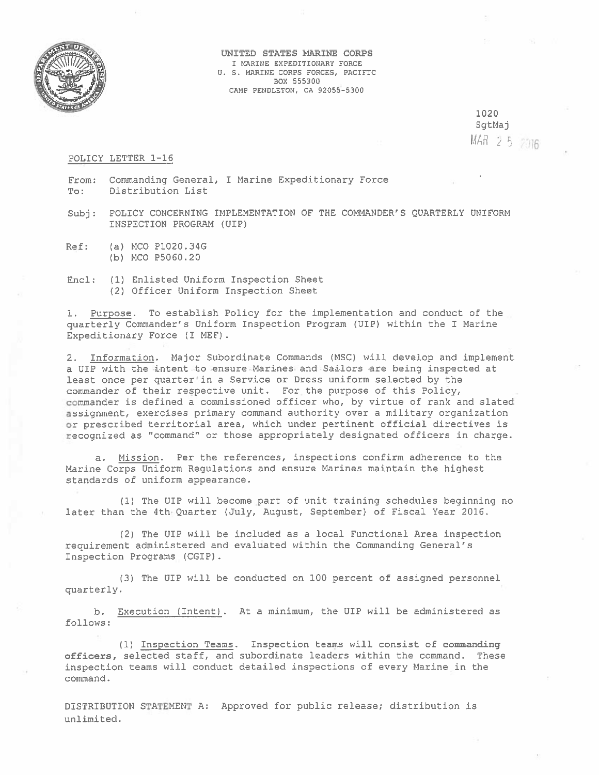

UNITED STATES MARINE CORPS I MARINE EXPEDITIONARY FORCE U. S. MARINE CORPS FORCES, PACIFIC BOX 555300 CAMP PENDLETON, CA 92055-5300

> 1020 SgtMaj MAR 2 5 2016

## POLICY LETTER 1-16

- From: Commanding General, I Marine Expeditionary Force To: Distribution List
- Subj: POLICY CONCERNING IMPLEMENTATION OF THE COMMANDER'S QUARTERLY UNIFORM INSPECTION PROGRAM (UIP)
- Ref: (a) MOO Pl020.34G (b) MCD P5060.20
- Encl: (1) Enlisted Uniform Inspection Sheet (2) Officer Uniform Inspection Sheet

1. Purpose. To establish Policy for the implementation and conduct of the quarterly Commander's Gniform Inspection Progran (UIP) within the I Marine Expeditionary Force (I MEF).

2. Information. Major Subordinate Commands (MSC) will develop and implement <sup>a</sup> UI? with the intent to ensure Marines and Sailors are being inspected at least once per quarter in <sup>a</sup> Service or Dress uniform selected by the commander of their respective unit. For the purpose of this Policy, commander is defined <sup>a</sup> commissioned officer who, by virtue of rank and slated assignment, exercises primary command authority over <sup>a</sup> military organization or orescribed territorial area, which under pertinent official directives is recognized as "command" or those appropriately designated officers in charge.

a. Mission. Per the references, inspections confirm adherence to the Marine Corps Uniform Regulations and ensure Marines maintain the highest standards of uniform appearance.

(1) The UIP will become par<sup>t</sup> of unit training schedules beginning no later than the 4th Quarter (July, August, September) of Fiscal Year 2016.

(2) The UI? will be included as <sup>a</sup> local Functional Area inspection requirement administered and evaluated within the Commanding General's Inspection Programs (CGIP)

(3) The UI? will be conducted on 100 percen<sup>t</sup> of assigned personnel quarterly.

b. Execution C Intent) . At <sup>a</sup> minimum, the UIP will be administered as follows:

(1) Inspection Teams. Inspection teaws will consist of commanding officers, selected staff, and subordinate leaders within the command. These inspection teams will conduct detailed inspections of every Marine in the command.

DISTRIBUTION STATEMENT A: Approved for public release; distribution is unlimited.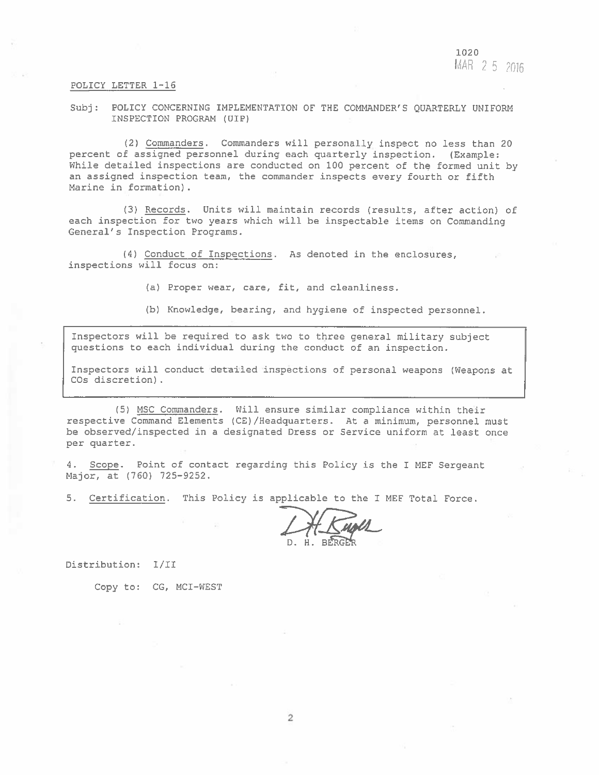1020  $MAR$  2.5 2016

## POLICY LETTER 1—16

Subj: POLICY CONCERNING IMPLEMENTATION OF THE COMMANDER'S QUARTERLY UNIFORM INSPECTION PROGRAM (UIP)

(2) Commanders. Commanders will personally insoect no less than 20 percent of assigned personnel during each quarterly inspection. (Example: While detailed inspections are conducted on 100 percent of the formed unit by an assigned inspection team, the commander inspects every fourth or fifth Marine in formation)

(3) Records. Units will maintain records (results, after action) of each inspection for two years which will be inspectable items on Commanding General's Inspection Programs.

(4) Conduct of Inspections. As denoted in the enclosures, inspections will focus on:

(a) Proper wear, care, fit, and cleanliness.

(b) Knowledge, bearing, and hygiene of inspected personnel.

Inspectors will be required to ask two to three genera<sup>l</sup> military subject questions to each individual during the conduct of an inspection.

Inspectors will conduct detailed inspections of personal weapons (Weapons at COs discretion).

(5) MSC Commanders. Will ensure similar compliance within their respective Command Elements (CE)/Headquarters. At <sup>a</sup> minimum, personnel must be observed/inspected in <sup>a</sup> designated Dress or Service uniform at least once per quarter.

4. Scope. Point of contact regarding this Policy is the <sup>I</sup> MEF Sergeant Major, at (760) 725—9252.

5. Certification. This Pclicy is applicable to the I MEF Total Force.

Distribution: I/Il

Copy to: CG, MCI-WEST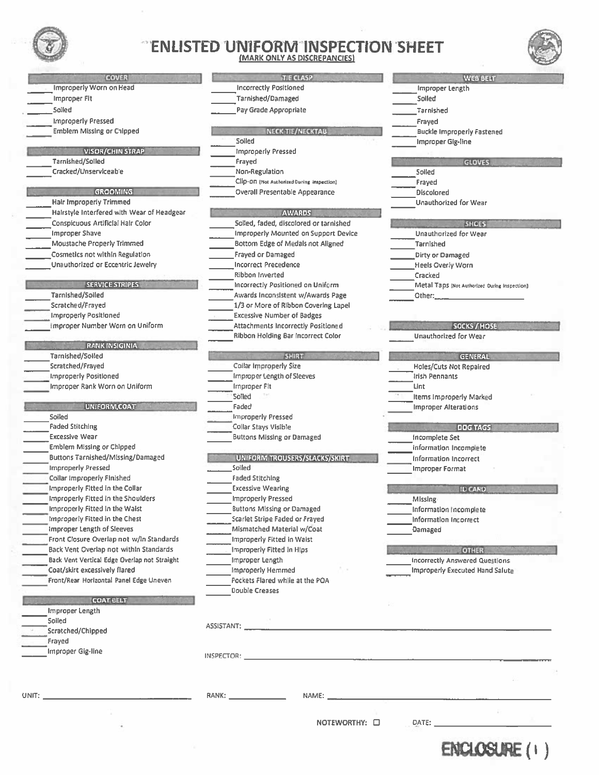

## ENLISTED UNIFORM INSPECTION SHEET (MARK ONLY AS DISCREPANCIES)



| <b>COVER</b>                                                          | <b>TIE CLASP</b>                                                                                                                                                                                                                    |                                                  |
|-----------------------------------------------------------------------|-------------------------------------------------------------------------------------------------------------------------------------------------------------------------------------------------------------------------------------|--------------------------------------------------|
| Improperly Worn on Head                                               | <b>Incorrectly Positioned</b>                                                                                                                                                                                                       | Improper Length                                  |
| Improper Fit                                                          | Tarnished/Damaged                                                                                                                                                                                                                   | Soiled                                           |
| Soiled                                                                | Pay Grade Appropriate                                                                                                                                                                                                               | Tarnished                                        |
| <b>Improperly Pressed</b>                                             |                                                                                                                                                                                                                                     | Frayed                                           |
| <b>Emblem Missing or Chipped</b>                                      | NECK TIE/NECKTAB                                                                                                                                                                                                                    | <b>Buckle Improper</b>                           |
|                                                                       | Soiled                                                                                                                                                                                                                              | Improper Gig-lin                                 |
| VISOR/CHIN STRAP                                                      | <b>Improperly Pressed</b>                                                                                                                                                                                                           |                                                  |
| Tarnished/Soiled                                                      | Frayed                                                                                                                                                                                                                              |                                                  |
| Cracked/Unserviceable                                                 | Non-Regulation                                                                                                                                                                                                                      | Soiled                                           |
|                                                                       | Clip-ON (Not Authorized During Inspection)                                                                                                                                                                                          | Frayed                                           |
| <b>GROOMING</b>                                                       | Overall Presentable Appearance                                                                                                                                                                                                      | <b>Discolored</b>                                |
| Hair Improperly Trimmed<br>Hairstyle Interfered with Wear of Headgear |                                                                                                                                                                                                                                     | Unauthorized for                                 |
| Conspicuous Artificial Hair Color                                     | <b>AWARDS</b><br>Soiled, faded, discolored or tarnished                                                                                                                                                                             |                                                  |
| <b>Improper Shave</b>                                                 | Improperly Mounted on Support Device                                                                                                                                                                                                | Unauthorized for                                 |
| Moustache Properly Trimmed                                            | Bottom Edge of Medals not Aligned                                                                                                                                                                                                   | Tarnished                                        |
| Cosmetics not within Regulation                                       | <b>Frayed or Damaged</b>                                                                                                                                                                                                            | <b>Dirty or Damaged</b>                          |
| Unauthorized or Eccentric Jewelry                                     | <b>Incorrect Precedence</b>                                                                                                                                                                                                         | <b>Heels Overly Wor</b>                          |
|                                                                       | Ribbon Inverted                                                                                                                                                                                                                     | Cracked                                          |
| <b>SERVICE STRIPES</b>                                                | Incorrectly Positioned on Uniform                                                                                                                                                                                                   | Metal Taps (Not Au                               |
| Tarnished/Soiled                                                      | Awards Inconsistent w/Awards Page                                                                                                                                                                                                   | Other:                                           |
| Scratched/Frayed                                                      | 1/3 or More of Ribbon Covering Lapel                                                                                                                                                                                                |                                                  |
| <b>Improperly Positioned</b>                                          | <b>Excessive Number of Badges</b>                                                                                                                                                                                                   |                                                  |
| Improper Number Worn on Uniform                                       | Attachments Incorrectly Positioned<br>Ribbon Holding Bar Incorrect Color                                                                                                                                                            | Unauthorized for                                 |
| <b>RANK INSIGINIA</b>                                                 |                                                                                                                                                                                                                                     |                                                  |
| Tarnished/Soiled                                                      | <b>SHIRT</b>                                                                                                                                                                                                                        |                                                  |
| Scratched/Frayed                                                      | Collar Improperly Size                                                                                                                                                                                                              | Holes/Cuts Not Re                                |
| <b>Improperly Positioned</b>                                          | <b>Improper Length of Sleeves</b>                                                                                                                                                                                                   | Irish Pennants                                   |
| Improper Rank Worn on Uniform                                         | Improper Fit                                                                                                                                                                                                                        | Lint                                             |
|                                                                       | Solled                                                                                                                                                                                                                              | Items Improperly                                 |
| UNIFORM, COAT                                                         | Faded                                                                                                                                                                                                                               | Improper Alterati                                |
| Soiled                                                                | <b>Improperly Pressed</b>                                                                                                                                                                                                           |                                                  |
| <b>Faded Stitching</b><br><b>Excessive Wear</b>                       | Collar Stays Visible<br><b>Buttons Missing or Damaged</b>                                                                                                                                                                           |                                                  |
| <b>Emblem Missing or Chipped</b>                                      |                                                                                                                                                                                                                                     | Incomplete Set<br>Information Incon              |
| Buttons Tarnished/Missing/Damaged                                     | UNIFORM TROUSERS/SLACKS/SKIRT                                                                                                                                                                                                       | Information Incor                                |
| <b>Improperly Pressed</b>                                             | Soiled                                                                                                                                                                                                                              | Improper Format                                  |
| Collar Improperly Finished                                            | <b>Faded Stitching</b>                                                                                                                                                                                                              |                                                  |
| Improperly Fitted in the Collar                                       | <b>Excessive Wearing</b>                                                                                                                                                                                                            |                                                  |
| Improperly Fitted in the Shoulders                                    | <b>Improperly Pressed</b>                                                                                                                                                                                                           | Missing-                                         |
| Improperly Fitted In the Waist                                        | <b>Buttons Missing or Damaged</b>                                                                                                                                                                                                   | Information Incon                                |
| Improperly Fitted in the Chest                                        | Scarlet Stripe Faded or Frayed                                                                                                                                                                                                      | Information Incorr                               |
| Improper Length of Sleeves                                            | Mismatched Material w/Coat                                                                                                                                                                                                          | Damaged                                          |
| Front Closure Overlap not w/ln Standards                              | Improperly Fitted in Waist                                                                                                                                                                                                          |                                                  |
| Back Vent Overlap not within Standards                                | Improperly Fitted In Hips                                                                                                                                                                                                           | $\sim$ $\sim$ $\sim$ $\sim$ $\sim$ $\sim$ $\sim$ |
| Back Vent Vertical Edge Overlap not Straight                          | Improper Length                                                                                                                                                                                                                     | <b>Incorrectly Answer</b>                        |
| Coat/skirt excessively flared                                         | Improperly Hemmed                                                                                                                                                                                                                   | <b>Improperly Execut</b>                         |
| Front/Rear Horizontal Panel Edge Uneven                               | Pockets Flared while at the POA                                                                                                                                                                                                     |                                                  |
| <b>COAT BELT</b>                                                      | Double Creases                                                                                                                                                                                                                      |                                                  |
| Improper Length                                                       |                                                                                                                                                                                                                                     |                                                  |
| Soiled                                                                |                                                                                                                                                                                                                                     |                                                  |
| Scratched/Chipped                                                     |                                                                                                                                                                                                                                     |                                                  |
| Frayed                                                                |                                                                                                                                                                                                                                     |                                                  |
| Improper Gig-line                                                     | <b>INSPECTOR:</b> The contract of the contract of the contract of the contract of the contract of the contract of the contract of the contract of the contract of the contract of the contract of the contract of the contract of t |                                                  |

| <b>ISPECTION SHEET</b><br><b>EPANCIES</b> |                                                       |
|-------------------------------------------|-------------------------------------------------------|
|                                           | WEB BELT                                              |
|                                           | Improper Length                                       |
|                                           | Soiled                                                |
|                                           | Tarnished                                             |
| AB                                        | Frayed<br><b>Buckle Improperly Fastened</b>           |
|                                           | Improper Gig-line                                     |
|                                           |                                                       |
|                                           | <b>GLOVES</b><br>Soiled                               |
| rpection)                                 | Frayed                                                |
| rance                                     | <b>Discolored</b>                                     |
|                                           | Unauthorized for Wear                                 |
| r tarnished                               | <b>SHOES</b>                                          |
| pport Device                              | Unauthorized for Wear                                 |
| t Aligned                                 | Tarnished                                             |
|                                           | Dirty or Damaged                                      |
|                                           | Heels Overly Worn                                     |
|                                           | Cracked                                               |
| Iniform                                   | Metal Taps (Not Authorized During Inspection)         |
| ards Page<br>ering Lapel                  | Other:                                                |
| ١S                                        |                                                       |
| sitioned                                  | SOCKS / HOSE                                          |
| ct Color                                  | Unauthorized for Wear                                 |
|                                           | <b>GENERAL</b>                                        |
|                                           | <b>Holes/Cuts Not Repaired</b>                        |
|                                           | Irish Pennants                                        |
|                                           | Lint                                                  |
|                                           | Items Improperly Marked                               |
|                                           | <b>Improper Alterations</b>                           |
|                                           | <b>DOG TAGS</b>                                       |
| d                                         | Incomplete Set                                        |
|                                           | Information Incomplete                                |
| <b>CKS/SKIRT</b>                          | Information Incorrect<br><b>Improper Format</b>       |
|                                           |                                                       |
|                                           | <b>ID CARD</b>                                        |
| d                                         | Missing<br>Information Incomplete                     |
| ed                                        | Information Incorrect                                 |
| аt                                        | Damaged                                               |
|                                           |                                                       |
|                                           | <b>OTHER</b><br><b>Incorrectly Answered Questions</b> |
|                                           | Improperly Executed Hand Salute                       |
| POA                                       |                                                       |
|                                           |                                                       |
|                                           |                                                       |
|                                           |                                                       |
|                                           |                                                       |
|                                           |                                                       |
|                                           |                                                       |
|                                           |                                                       |
|                                           |                                                       |

ENCLOSURE(1)